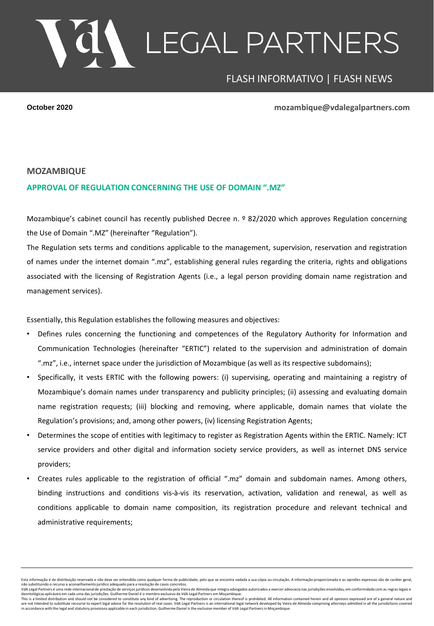## LEGAL PARTNERS

## FLASH INFORMATIVO | FLASH NEWS

**October 2020 mozambique@vdalegalpartners.com**

## **MOZAMBIQUE**

## **APPROVAL OF REGULATION CONCERNING THE USE OF DOMAIN ".MZ"**

Mozambique's cabinet council has recently published Decree n. º 82/2020 which approves Regulation concerning the Use of Domain ".MZ" (hereinafter "Regulation").

The Regulation sets terms and conditions applicable to the management, supervision, reservation and registration of names under the internet domain ".mz", establishing general rules regarding the criteria, rights and obligations associated with the licensing of Registration Agents (i.e., a legal person providing domain name registration and management services).

Essentially, this Regulation establishes the following measures and objectives:

- Defines rules concerning the functioning and competences of the Regulatory Authority for Information and Communication Technologies (hereinafter "ERTIC") related to the supervision and administration of domain ".mz", i.e., internet space under the jurisdiction of Mozambique (as well as its respective subdomains);
- Specifically, it vests ERTIC with the following powers: (i) supervising, operating and maintaining a registry of Mozambique's domain names under transparency and publicity principles; (ii) assessing and evaluating domain name registration requests; (iii) blocking and removing, where applicable, domain names that violate the Regulation's provisions; and, among other powers, (iv) licensing Registration Agents;
- Determines the scope of entities with legitimacy to register as Registration Agents within the ERTIC. Namely: ICT service providers and other digital and information society service providers, as well as internet DNS service providers;
- Creates rules applicable to the registration of official ".mz" domain and subdomain names. Among others, binding instructions and conditions vis-à-vis its reservation, activation, validation and renewal, as well as conditions applicable to domain name composition, its registration procedure and relevant technical and administrative requirements;

Esta informação é de distribuição reservada e não deve ser entendida como qualquer forma de publicidade, pelo que se encontra vedada a sua cópia ou circulação. A informação proporcionada e as opiniões expressas são de cará

VdA Legal Partners é uma rede internacional de prestação de servicos jurídicos desenvolvida pela Vieira de Almeida que integra advogados autorizados a exercer advocaçia nas jurisdições envolvidas, em conformidade com as re

deontológicas aplicáveis em cada uma das jurisdições. Guilherme Daniel é o membro exclusivo da VdA Legal Partners em Moçambique.<br>This is a limited disribution and should not be constitute any kind of a deventising. The rep in accordance with the legal and statutory provisions applicable in each jurisdiction. Guilherme Daniel is the exclusive member of VdA Legal Partners in Moçambique.